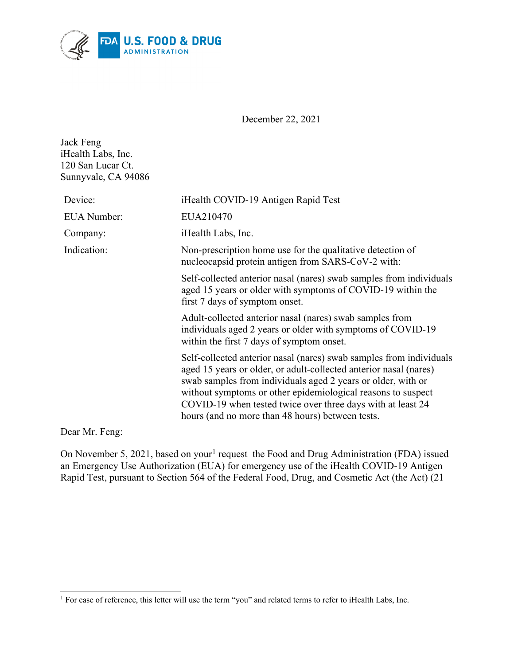

December 22, 2021

| Jack Feng           |
|---------------------|
| iHealth Labs, Inc.  |
| 120 San Lucar Ct.   |
| Sunnyvale, CA 94086 |

| Device:            | iHealth COVID-19 Antigen Rapid Test                                                                                                                                                                                                                                                                                                                                                         |
|--------------------|---------------------------------------------------------------------------------------------------------------------------------------------------------------------------------------------------------------------------------------------------------------------------------------------------------------------------------------------------------------------------------------------|
| <b>EUA</b> Number: | EUA210470                                                                                                                                                                                                                                                                                                                                                                                   |
| Company:           | iHealth Labs, Inc.                                                                                                                                                                                                                                                                                                                                                                          |
| Indication:        | Non-prescription home use for the qualitative detection of<br>nucleocapsid protein antigen from SARS-CoV-2 with:                                                                                                                                                                                                                                                                            |
|                    | Self-collected anterior nasal (nares) swab samples from individuals<br>aged 15 years or older with symptoms of COVID-19 within the<br>first 7 days of symptom onset.                                                                                                                                                                                                                        |
|                    | Adult-collected anterior nasal (nares) swab samples from<br>individuals aged 2 years or older with symptoms of COVID-19<br>within the first 7 days of symptom onset.                                                                                                                                                                                                                        |
|                    | Self-collected anterior nasal (nares) swab samples from individuals<br>aged 15 years or older, or adult-collected anterior nasal (nares)<br>swab samples from individuals aged 2 years or older, with or<br>without symptoms or other epidemiological reasons to suspect<br>COVID-19 when tested twice over three days with at least 24<br>hours (and no more than 48 hours) between tests. |

Dear Mr. Feng:

On November 5, 202[1](#page-0-0), based on your<sup>1</sup> request the Food and Drug Administration (FDA) issued an Emergency Use Authorization (EUA) for emergency use of the iHealth COVID-19 Antigen Rapid Test, pursuant to Section 564 of the Federal Food, Drug, and Cosmetic Act (the Act) (21

<span id="page-0-0"></span><sup>&</sup>lt;sup>1</sup> For ease of reference, this letter will use the term "you" and related terms to refer to iHealth Labs, Inc.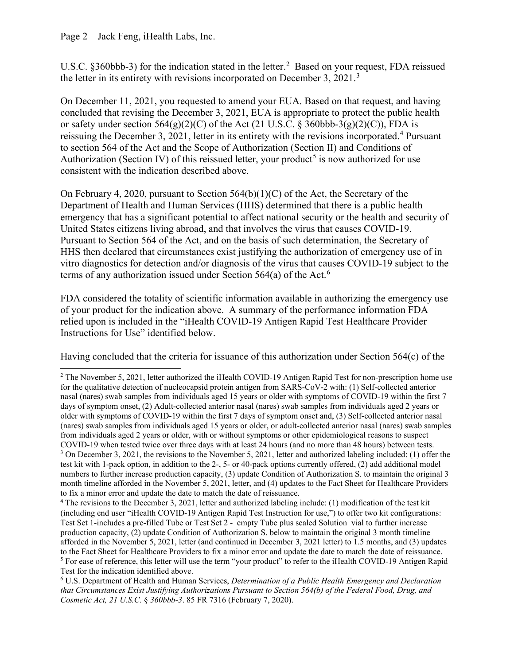### Page 2 – Jack Feng, iHealth Labs, Inc.

U.S.C. §360bbb-3) for the indication stated in the letter.<sup>[2](#page-1-0)</sup> Based on your request, FDA reissued the letter in its entirety with revisions incorporated on December [3](#page-1-1), 2021.<sup>3</sup>

On December 11, 2021, you requested to amend your EUA. Based on that request, and having concluded that revising the December 3, 2021, EUA is appropriate to protect the public health or safety under section  $564(g)(2)(C)$  of the Act (21 U.S.C. § 360bbb-3(g)(2)(C)), FDA is reissuing the December 3, 2021, letter in its entirety with the revisions incorporated.<sup>[4](#page-1-2)</sup> Pursuant to section 564 of the Act and the Scope of Authorization (Section II) and Conditions of Authorization (Section IV) of this reissued letter, your product<sup>[5](#page-1-3)</sup> is now authorized for use consistent with the indication described above.

On February 4, 2020, pursuant to Section 564(b)(1)(C) of the Act, the Secretary of the Department of Health and Human Services (HHS) determined that there is a public health emergency that has a significant potential to affect national security or the health and security of United States citizens living abroad, and that involves the virus that causes COVID-19. Pursuant to Section 564 of the Act, and on the basis of such determination, the Secretary of HHS then declared that circumstances exist justifying the authorization of emergency use of in vitro diagnostics for detection and/or diagnosis of the virus that causes COVID-19 subject to the terms of any authorization issued under Section 5[6](#page-1-4)4(a) of the Act.<sup>6</sup>

FDA considered the totality of scientific information available in authorizing the emergency use of your product for the indication above. A summary of the performance information FDA relied upon is included in the "iHealth COVID-19 Antigen Rapid Test Healthcare Provider Instructions for Use" identified below.

Having concluded that the criteria for issuance of this authorization under Section 564(c) of the

<span id="page-1-0"></span><sup>&</sup>lt;sup>2</sup> The November 5, 2021, letter authorized the iHealth COVID-19 Antigen Rapid Test for non-prescription home use for the qualitative detection of nucleocapsid protein antigen from SARS-CoV-2 with: (1) Self-collected anterior nasal (nares) swab samples from individuals aged 15 years or older with symptoms of COVID-19 within the first 7 days of symptom onset, (2) Adult-collected anterior nasal (nares) swab samples from individuals aged 2 years or older with symptoms of COVID-19 within the first 7 days of symptom onset and, (3) Self-collected anterior nasal (nares) swab samples from individuals aged 15 years or older, or adult-collected anterior nasal (nares) swab samples from individuals aged 2 years or older, with or without symptoms or other epidemiological reasons to suspect COVID-19 when tested twice over three days with at least 24 hours (and no more than 48 hours) between tests. <sup>3</sup> On December 3, 2021, the revisions to the November 5, 2021, letter and authorized labeling included: (1) offer the test kit with 1-pack option, in addition to the 2-, 5- or 40-pack options currently offered, (2) add additional model numbers to further increase production capacity, (3) update Condition of Authorization S. to maintain the original 3 month timeline afforded in the November 5, 2021, letter, and (4) updates to the Fact Sheet for Healthcare Providers to fix a minor error and update the date to match the date of reissuance.

<span id="page-1-2"></span><span id="page-1-1"></span><sup>&</sup>lt;sup>4</sup> The revisions to the December 3, 2021, letter and authorized labeling include: (1) modification of the test kit (including end user "iHealth COVID-19 Antigen Rapid Test Instruction for use,") to offer two kit configurations: Test Set 1-includes a pre-filled Tube or Test Set 2 - empty Tube plus sealed Solution vial to further increase production capacity, (2) update Condition of Authorization S. below to maintain the original 3 month timeline afforded in the November 5, 2021, letter (and continued in December 3, 2021 letter) to 1.5 months, and (3) updates to the Fact Sheet for Healthcare Providers to fix a minor error and update the date to match the date of reissuance. <sup>5</sup> For ease of reference, this letter will use the term "your product" to refer to the iHealth COVID-19 Antigen Rapid Test for the indication identified above.

<span id="page-1-4"></span><span id="page-1-3"></span><sup>6</sup> U.S. Department of Health and Human Services, *Determination of a Public Health Emergency and Declaration that Circumstances Exist Justifying Authorizations Pursuant to Section 564(b) of the Federal Food, Drug, and Cosmetic Act, 21 U.S.C.* § *360bbb-3*. 85 FR 7316 (February 7, 2020).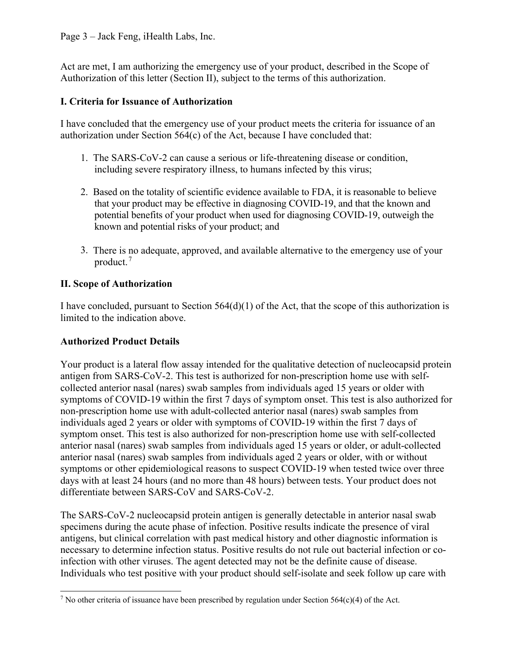### Page 3 – Jack Feng, iHealth Labs, Inc.

Act are met, I am authorizing the emergency use of your product, described in the Scope of Authorization of this letter (Section II), subject to the terms of this authorization.

### **I. Criteria for Issuance of Authorization**

I have concluded that the emergency use of your product meets the criteria for issuance of an authorization under Section 564(c) of the Act, because I have concluded that:

- 1. The SARS-CoV-2 can cause a serious or life-threatening disease or condition, including severe respiratory illness, to humans infected by this virus;
- 2. Based on the totality of scientific evidence available to FDA, it is reasonable to believe that your product may be effective in diagnosing COVID-19, and that the known and potential benefits of your product when used for diagnosing COVID-19, outweigh the known and potential risks of your product; and
- 3. There is no adequate, approved, and available alternative to the emergency use of your product. [7](#page-2-0)

#### **II. Scope of Authorization**

I have concluded, pursuant to Section  $564(d)(1)$  of the Act, that the scope of this authorization is limited to the indication above.

### **Authorized Product Details**

Your product is a lateral flow assay intended for the qualitative detection of nucleocapsid protein antigen from SARS-CoV-2. This test is authorized for non-prescription home use with selfcollected anterior nasal (nares) swab samples from individuals aged 15 years or older with symptoms of COVID-19 within the first 7 days of symptom onset. This test is also authorized for non-prescription home use with adult-collected anterior nasal (nares) swab samples from individuals aged 2 years or older with symptoms of COVID-19 within the first 7 days of symptom onset. This test is also authorized for non-prescription home use with self-collected anterior nasal (nares) swab samples from individuals aged 15 years or older, or adult-collected anterior nasal (nares) swab samples from individuals aged 2 years or older, with or without symptoms or other epidemiological reasons to suspect COVID-19 when tested twice over three days with at least 24 hours (and no more than 48 hours) between tests. Your product does not differentiate between SARS-CoV and SARS-CoV-2.

The SARS-CoV-2 nucleocapsid protein antigen is generally detectable in anterior nasal swab specimens during the acute phase of infection. Positive results indicate the presence of viral antigens, but clinical correlation with past medical history and other diagnostic information is necessary to determine infection status. Positive results do not rule out bacterial infection or coinfection with other viruses. The agent detected may not be the definite cause of disease. Individuals who test positive with your product should self-isolate and seek follow up care with

<span id="page-2-0"></span><sup>&</sup>lt;sup>7</sup> No other criteria of issuance have been prescribed by regulation under Section 564(c)(4) of the Act.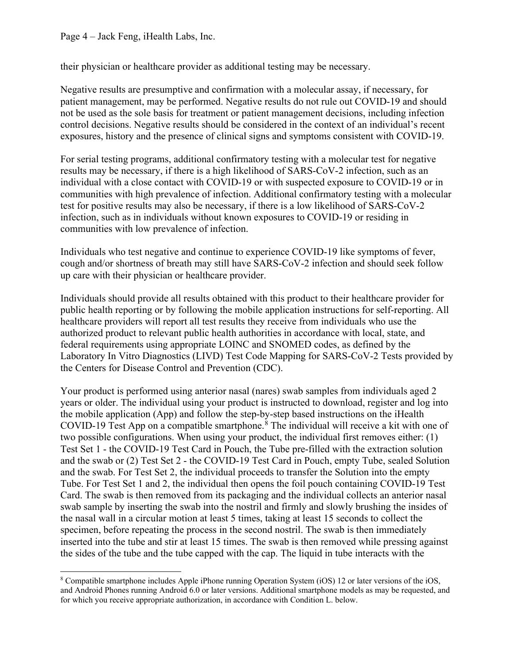their physician or healthcare provider as additional testing may be necessary.

Negative results are presumptive and confirmation with a molecular assay, if necessary, for patient management, may be performed. Negative results do not rule out COVID-19 and should not be used as the sole basis for treatment or patient management decisions, including infection control decisions. Negative results should be considered in the context of an individual's recent exposures, history and the presence of clinical signs and symptoms consistent with COVID-19.

For serial testing programs, additional confirmatory testing with a molecular test for negative results may be necessary, if there is a high likelihood of SARS-CoV-2 infection, such as an individual with a close contact with COVID-19 or with suspected exposure to COVID-19 or in communities with high prevalence of infection. Additional confirmatory testing with a molecular test for positive results may also be necessary, if there is a low likelihood of SARS-CoV-2 infection, such as in individuals without known exposures to COVID-19 or residing in communities with low prevalence of infection.

Individuals who test negative and continue to experience COVID-19 like symptoms of fever, cough and/or shortness of breath may still have SARS-CoV-2 infection and should seek follow up care with their physician or healthcare provider.

Individuals should provide all results obtained with this product to their healthcare provider for public health reporting or by following the mobile application instructions for self-reporting. All healthcare providers will report all test results they receive from individuals who use the authorized product to relevant public health authorities in accordance with local, state, and federal requirements using appropriate LOINC and SNOMED codes, as defined by the Laboratory In Vitro Diagnostics (LIVD) Test Code Mapping for SARS-CoV-2 Tests provided by the Centers for Disease Control and Prevention (CDC).

Your product is performed using anterior nasal (nares) swab samples from individuals aged 2 years or older. The individual using your product is instructed to download, register and log into the mobile application (App) and follow the step-by-step based instructions on the iHealth COVID-19 Test App on a compatible smartphone. [8](#page-3-0) The individual will receive a kit with one of two possible configurations. When using your product, the individual first removes either: (1) Test Set 1 - the COVID-19 Test Card in Pouch, the Tube pre-filled with the extraction solution and the swab or (2) Test Set 2 - the COVID-19 Test Card in Pouch, empty Tube, sealed Solution and the swab. For Test Set 2, the individual proceeds to transfer the Solution into the empty Tube. For Test Set 1 and 2, the individual then opens the foil pouch containing COVID-19 Test Card. The swab is then removed from its packaging and the individual collects an anterior nasal swab sample by inserting the swab into the nostril and firmly and slowly brushing the insides of the nasal wall in a circular motion at least 5 times, taking at least 15 seconds to collect the specimen, before repeating the process in the second nostril. The swab is then immediately inserted into the tube and stir at least 15 times. The swab is then removed while pressing against the sides of the tube and the tube capped with the cap. The liquid in tube interacts with the

<span id="page-3-0"></span><sup>8</sup> Compatible smartphone includes Apple iPhone running Operation System (iOS) 12 or later versions of the iOS, and Android Phones running Android 6.0 or later versions. Additional smartphone models as may be requested, and for which you receive appropriate authorization, in accordance with Condition L. below.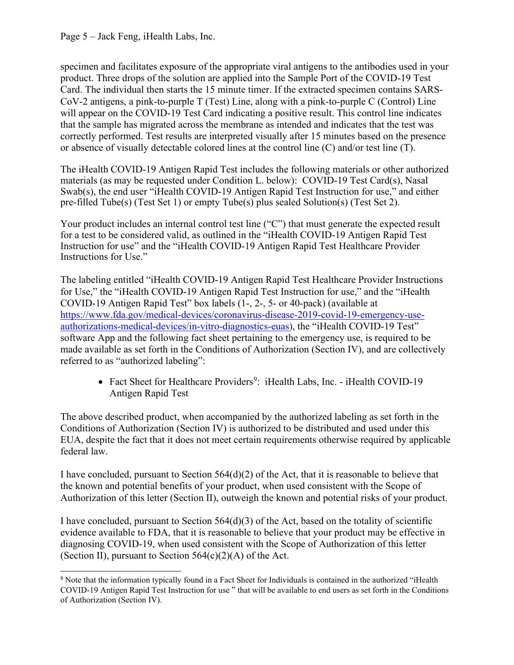Page 5 – Jack Feng, iHealth Labs, Inc.

specimen and facilitates exposure of the appropriate viral antigens to the antibodies used in your product. Three drops of the solution are applied into the Sample Port of the COVID-19 Test Card. The individual then starts the 15 minute timer. If the extracted specimen contains SARS-CoV-2 antigens, a pink-to-purple T (Test) Line, along with a pink-to-purple C (Control) Line will appear on the COVID-19 Test Card indicating a positive result. This control line indicates that the sample has migrated across the membrane as intended and indicates that the test was correctly performed. Test results are interpreted visually after 15 minutes based on the presence or absence of visually detectable colored lines at the control line (C) and/or test line (T).

The iHealth COVID-19 Antigen Rapid Test includes the following materials or other authorized materials (as may be requested under Condition L. below): COVID-19 Test Card(s), Nasal Swab(s), the end user "iHealth COVID-19 Antigen Rapid Test Instruction for use," and either pre-filled Tube(s) (Test Set 1) or empty Tube(s) plus sealed Solution(s) (Test Set 2).

Your product includes an internal control test line ("C") that must generate the expected result for a test to be considered valid, as outlined in the "iHealth COVID-19 Antigen Rapid Test Instruction for use" and the "iHealth COVID-19 Antigen Rapid Test Healthcare Provider Instructions for Use."

The labeling entitled "iHealth COVID-19 Antigen Rapid Test Healthcare Provider Instructions for Use," the "iHealth COVID-19 Antigen Rapid Test Instruction for use," and the "iHealth COVID-19 Antigen Rapid Test" box labels (1-, 2-, 5- or 40-pack) (available at [https://www.fda.gov/medical-devices/coronavirus-disease-2019-covid-19-emergency-use](https://www.fda.gov/medical-devices/coronavirus-disease-2019-covid-19-emergency-use-authorizations-medical-devices/in-vitro-diagnostics-euas)[authorizations-medical-devices/in-vitro-diagnostics-euas\)](https://www.fda.gov/medical-devices/coronavirus-disease-2019-covid-19-emergency-use-authorizations-medical-devices/in-vitro-diagnostics-euas), the "iHealth COVID-19 Test" software App and the following fact sheet pertaining to the emergency use, is required to be made available as set forth in the Conditions of Authorization (Section IV), and are collectively referred to as "authorized labeling":

• Fact Sheet for Healthcare Providers<sup>[9](#page-4-0)</sup>: iHealth Labs, Inc. - iHealth COVID-19 Antigen Rapid Test

The above described product, when accompanied by the authorized labeling as set forth in the Conditions of Authorization (Section IV) is authorized to be distributed and used under this EUA, despite the fact that it does not meet certain requirements otherwise required by applicable federal law.

I have concluded, pursuant to Section 564(d)(2) of the Act, that it is reasonable to believe that the known and potential benefits of your product, when used consistent with the Scope of Authorization of this letter (Section II), outweigh the known and potential risks of your product.

I have concluded, pursuant to Section  $564(d)(3)$  of the Act, based on the totality of scientific evidence available to FDA, that it is reasonable to believe that your product may be effective in diagnosing COVID-19, when used consistent with the Scope of Authorization of this letter (Section II), pursuant to Section  $564(c)(2)(A)$  of the Act.

<span id="page-4-0"></span><sup>9</sup> Note that the information typically found in a Fact Sheet for Individuals is contained in the authorized "iHealth COVID-19 Antigen Rapid Test Instruction for use " that will be available to end users as set forth in the Conditions of Authorization (Section IV).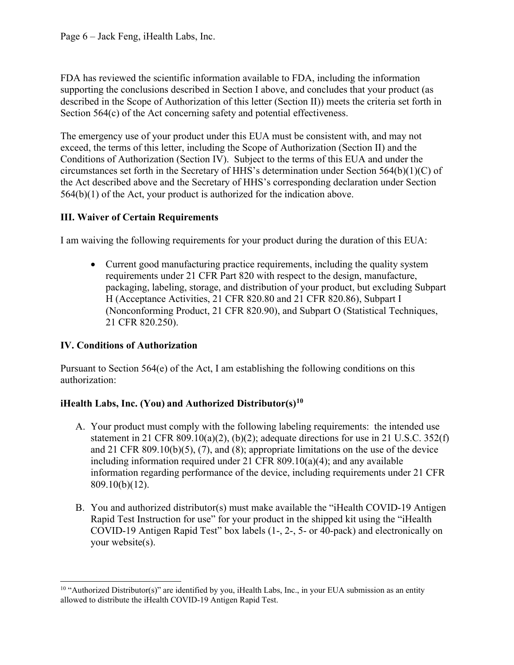FDA has reviewed the scientific information available to FDA, including the information supporting the conclusions described in Section I above, and concludes that your product (as described in the Scope of Authorization of this letter (Section II)) meets the criteria set forth in Section 564(c) of the Act concerning safety and potential effectiveness.

The emergency use of your product under this EUA must be consistent with, and may not exceed, the terms of this letter, including the Scope of Authorization (Section II) and the Conditions of Authorization (Section IV). Subject to the terms of this EUA and under the circumstances set forth in the Secretary of HHS's determination under Section 564(b)(1)(C) of the Act described above and the Secretary of HHS's corresponding declaration under Section 564(b)(1) of the Act, your product is authorized for the indication above.

# **III. Waiver of Certain Requirements**

I am waiving the following requirements for your product during the duration of this EUA:

• Current good manufacturing practice requirements, including the quality system requirements under 21 CFR Part 820 with respect to the design, manufacture, packaging, labeling, storage, and distribution of your product, but excluding Subpart H (Acceptance Activities, 21 CFR 820.80 and 21 CFR 820.86), Subpart I (Nonconforming Product, 21 CFR 820.90), and Subpart O (Statistical Techniques, 21 CFR 820.250).

# **IV. Conditions of Authorization**

Pursuant to Section  $564(e)$  of the Act, I am establishing the following conditions on this authorization:

# **iHealth Labs, Inc. (You) and Authorized Distributor(s)[10](#page-5-0)**

- A. Your product must comply with the following labeling requirements: the intended use statement in 21 CFR 809.10(a)(2), (b)(2); adequate directions for use in 21 U.S.C. 352(f) and 21 CFR 809.10(b)(5), (7), and (8); appropriate limitations on the use of the device including information required under 21 CFR 809.10(a)(4); and any available information regarding performance of the device, including requirements under 21 CFR 809.10(b)(12).
- B. You and authorized distributor(s) must make available the "iHealth COVID-19 Antigen Rapid Test Instruction for use" for your product in the shipped kit using the "iHealth COVID-19 Antigen Rapid Test" box labels (1-, 2-, 5- or 40-pack) and electronically on your website(s).

<span id="page-5-0"></span><sup>&</sup>lt;sup>10</sup> "Authorized Distributor(s)" are identified by you, iHealth Labs, Inc., in your EUA submission as an entity allowed to distribute the iHealth COVID-19 Antigen Rapid Test.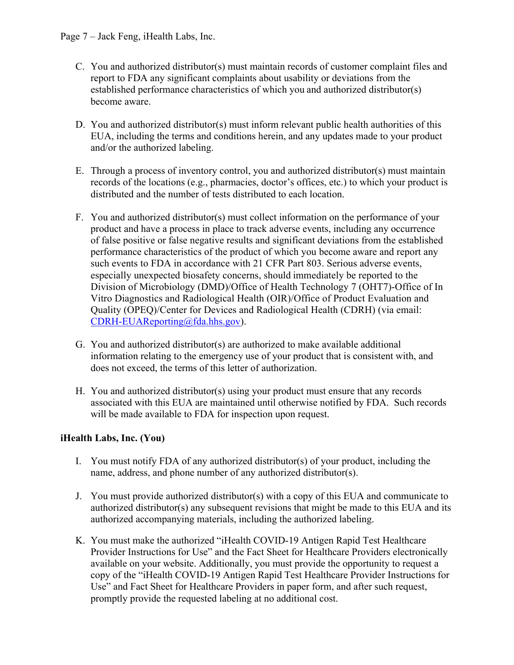- C. You and authorized distributor(s) must maintain records of customer complaint files and report to FDA any significant complaints about usability or deviations from the established performance characteristics of which you and authorized distributor(s) become aware.
- D. You and authorized distributor(s) must inform relevant public health authorities of this EUA, including the terms and conditions herein, and any updates made to your product and/or the authorized labeling.
- E. Through a process of inventory control, you and authorized distributor(s) must maintain records of the locations (e.g., pharmacies, doctor's offices, etc.) to which your product is distributed and the number of tests distributed to each location.
- F. You and authorized distributor(s) must collect information on the performance of your product and have a process in place to track adverse events, including any occurrence of false positive or false negative results and significant deviations from the established performance characteristics of the product of which you become aware and report any such events to FDA in accordance with 21 CFR Part 803. Serious adverse events, especially unexpected biosafety concerns, should immediately be reported to the Division of Microbiology (DMD)/Office of Health Technology 7 (OHT7)-Office of In Vitro Diagnostics and Radiological Health (OIR)/Office of Product Evaluation and Quality (OPEQ)/Center for Devices and Radiological Health (CDRH) (via email: [CDRH-EUAReporting@fda.hhs.gov\)](mailto:CDRH-EUAReporting@fda.hhs.gov).
- G. You and authorized distributor(s) are authorized to make available additional information relating to the emergency use of your product that is consistent with, and does not exceed, the terms of this letter of authorization.
- H. You and authorized distributor(s) using your product must ensure that any records associated with this EUA are maintained until otherwise notified by FDA. Such records will be made available to FDA for inspection upon request.

## **iHealth Labs, Inc. (You)**

- I. You must notify FDA of any authorized distributor(s) of your product, including the name, address, and phone number of any authorized distributor(s).
- J. You must provide authorized distributor(s) with a copy of this EUA and communicate to authorized distributor(s) any subsequent revisions that might be made to this EUA and its authorized accompanying materials, including the authorized labeling.
- K. You must make the authorized "iHealth COVID-19 Antigen Rapid Test Healthcare Provider Instructions for Use" and the Fact Sheet for Healthcare Providers electronically available on your website. Additionally, you must provide the opportunity to request a copy of the "iHealth COVID-19 Antigen Rapid Test Healthcare Provider Instructions for Use" and Fact Sheet for Healthcare Providers in paper form, and after such request, promptly provide the requested labeling at no additional cost.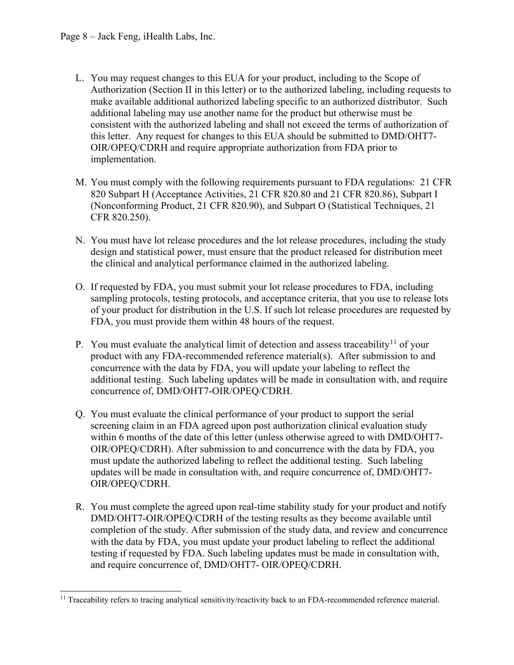- L. You may request changes to this EUA for your product, including to the Scope of Authorization (Section II in this letter) or to the authorized labeling, including requests to make available additional authorized labeling specific to an authorized distributor. Such additional labeling may use another name for the product but otherwise must be consistent with the authorized labeling and shall not exceed the terms of authorization of this letter. Any request for changes to this EUA should be submitted to DMD/OHT7- OIR/OPEQ/CDRH and require appropriate authorization from FDA prior to implementation.
- M. You must comply with the following requirements pursuant to FDA regulations: 21 CFR 820 Subpart H (Acceptance Activities, 21 CFR 820.80 and 21 CFR 820.86), Subpart I (Nonconforming Product, 21 CFR 820.90), and Subpart O (Statistical Techniques, 21 CFR 820.250).
- N. You must have lot release procedures and the lot release procedures, including the study design and statistical power, must ensure that the product released for distribution meet the clinical and analytical performance claimed in the authorized labeling.
- O. If requested by FDA, you must submit your lot release procedures to FDA, including sampling protocols, testing protocols, and acceptance criteria, that you use to release lots of your product for distribution in the U.S. If such lot release procedures are requested by FDA, you must provide them within 48 hours of the request.
- P. You must evaluate the analytical limit of detection and assess traceability<sup>[11](#page-7-0)</sup> of your product with any FDA-recommended reference material(s). After submission to and concurrence with the data by FDA, you will update your labeling to reflect the additional testing. Such labeling updates will be made in consultation with, and require concurrence of, DMD/OHT7-OIR/OPEQ/CDRH.
- Q. You must evaluate the clinical performance of your product to support the serial screening claim in an FDA agreed upon post authorization clinical evaluation study within 6 months of the date of this letter (unless otherwise agreed to with DMD/OHT7- OIR/OPEQ/CDRH). After submission to and concurrence with the data by FDA, you must update the authorized labeling to reflect the additional testing. Such labeling updates will be made in consultation with, and require concurrence of, DMD/OHT7- OIR/OPEQ/CDRH.
- R. You must complete the agreed upon real-time stability study for your product and notify DMD/OHT7-OIR/OPEQ/CDRH of the testing results as they become available until completion of the study. After submission of the study data, and review and concurrence with the data by FDA, you must update your product labeling to reflect the additional testing if requested by FDA. Such labeling updates must be made in consultation with, and require concurrence of, DMD/OHT7- OIR/OPEQ/CDRH.

<span id="page-7-0"></span><sup>&</sup>lt;sup>11</sup> Traceability refers to tracing analytical sensitivity/reactivity back to an FDA-recommended reference material.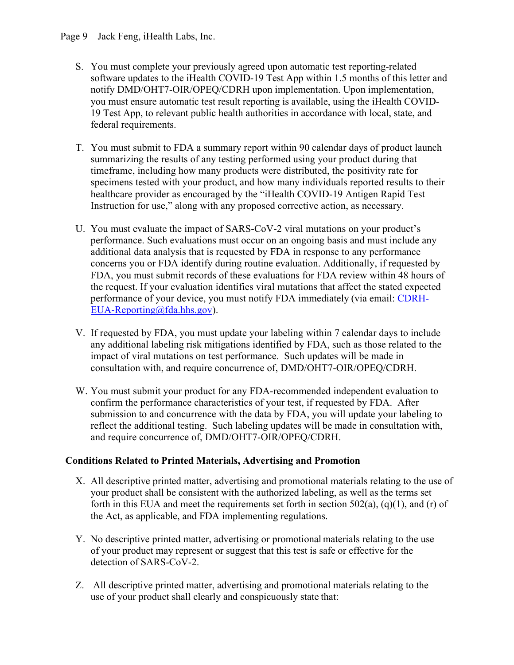- S. You must complete your previously agreed upon automatic test reporting-related software updates to the iHealth COVID-19 Test App within 1.5 months of this letter and notify DMD/OHT7-OIR/OPEQ/CDRH upon implementation. Upon implementation, you must ensure automatic test result reporting is available, using the iHealth COVID-19 Test App, to relevant public health authorities in accordance with local, state, and federal requirements.
- T. You must submit to FDA a summary report within 90 calendar days of product launch summarizing the results of any testing performed using your product during that timeframe, including how many products were distributed, the positivity rate for specimens tested with your product, and how many individuals reported results to their healthcare provider as encouraged by the "iHealth COVID-19 Antigen Rapid Test Instruction for use," along with any proposed corrective action, as necessary.
- U. You must evaluate the impact of SARS-CoV-2 viral mutations on your product's performance. Such evaluations must occur on an ongoing basis and must include any additional data analysis that is requested by FDA in response to any performance concerns you or FDA identify during routine evaluation. Additionally, if requested by FDA, you must submit records of these evaluations for FDA review within 48 hours of the request. If your evaluation identifies viral mutations that affect the stated expected performance of your device, you must notify FDA immediately (via email: [CDRH-](mailto:CDRH-EUA-Reporting@fda.hhs.gov)[EUA-Reporting@fda.hhs.gov\)](mailto:CDRH-EUA-Reporting@fda.hhs.gov).
- V. If requested by FDA, you must update your labeling within 7 calendar days to include any additional labeling risk mitigations identified by FDA, such as those related to the impact of viral mutations on test performance. Such updates will be made in consultation with, and require concurrence of, DMD/OHT7-OIR/OPEQ/CDRH.
- W. You must submit your product for any FDA-recommended independent evaluation to confirm the performance characteristics of your test, if requested by FDA. After submission to and concurrence with the data by FDA, you will update your labeling to reflect the additional testing. Such labeling updates will be made in consultation with, and require concurrence of, DMD/OHT7-OIR/OPEQ/CDRH.

## **Conditions Related to Printed Materials, Advertising and Promotion**

- X. All descriptive printed matter, advertising and promotional materials relating to the use of your product shall be consistent with the authorized labeling, as well as the terms set forth in this EUA and meet the requirements set forth in section  $502(a)$ ,  $(q)(1)$ , and  $(r)$  of the Act, as applicable, and FDA implementing regulations.
- Y. No descriptive printed matter, advertising or promotionalmaterials relating to the use of your product may represent or suggest that this test is safe or effective for the detection of SARS-CoV-2.
- Z. All descriptive printed matter, advertising and promotional materials relating to the use of your product shall clearly and conspicuously state that: